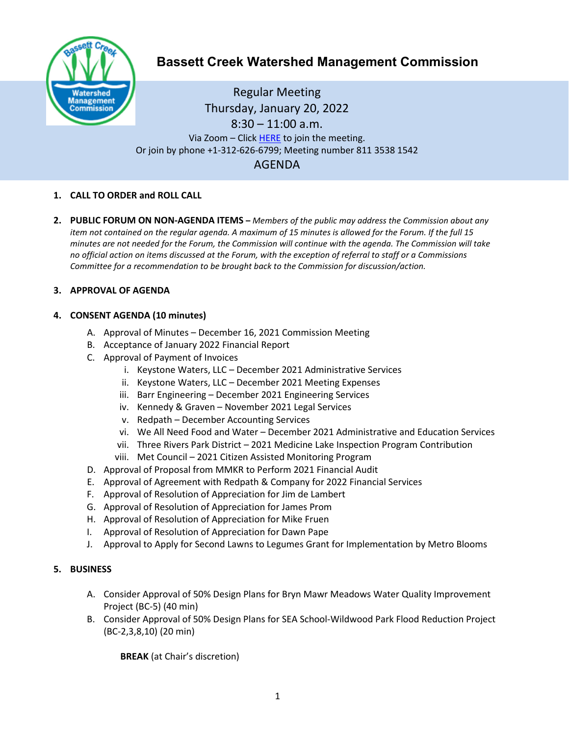

# **Bassett Creek Watershed Management Commission**

Regular Meeting Thursday, January 20, 2022  $8:30 - 11:00$  a.m. Via Zoom - Clic[k HERE](https://us02web.zoom.us/j/81135381542) to join the meeting. Or join by phone +1-312-626-6799; Meeting number 811 3538 1542 AGENDA

## **1. CALL TO ORDER and ROLL CALL**

**2. PUBLIC FORUM ON NON-AGENDA ITEMS –** *Members of the public may address the Commission about any item not contained on the regular agenda. A maximum of 15 minutes is allowed for the Forum. If the full 15 minutes are not needed for the Forum, the Commission will continue with the agenda. The Commission will take no official action on items discussed at the Forum, with the exception of referral to staff or a Commissions Committee for a recommendation to be brought back to the Commission for discussion/action.*

## **3. APPROVAL OF AGENDA**

## **4. CONSENT AGENDA (10 minutes)**

- A. Approval of Minutes December 16, 2021 Commission Meeting
- B. Acceptance of January 2022 Financial Report
- C. Approval of Payment of Invoices
	- i. Keystone Waters, LLC December 2021 Administrative Services
	- ii. Keystone Waters, LLC December 2021 Meeting Expenses
	- iii. Barr Engineering December 2021 Engineering Services
	- iv. Kennedy & Graven November 2021 Legal Services
	- v. Redpath December Accounting Services
	- vi. We All Need Food and Water December 2021 Administrative and Education Services
	- vii. Three Rivers Park District 2021 Medicine Lake Inspection Program Contribution
	- viii. Met Council 2021 Citizen Assisted Monitoring Program
- D. Approval of Proposal from MMKR to Perform 2021 Financial Audit
- E. Approval of Agreement with Redpath & Company for 2022 Financial Services
- F. Approval of Resolution of Appreciation for Jim de Lambert
- G. Approval of Resolution of Appreciation for James Prom
- H. Approval of Resolution of Appreciation for Mike Fruen
- I. Approval of Resolution of Appreciation for Dawn Pape
- J. Approval to Apply for Second Lawns to Legumes Grant for Implementation by Metro Blooms

#### **5. BUSINESS**

- A. Consider Approval of 50% Design Plans for Bryn Mawr Meadows Water Quality Improvement Project (BC-5) (40 min)
- B. Consider Approval of 50% Design Plans for SEA School-Wildwood Park Flood Reduction Project (BC-2,3,8,10) (20 min)

**BREAK** (at Chair's discretion)